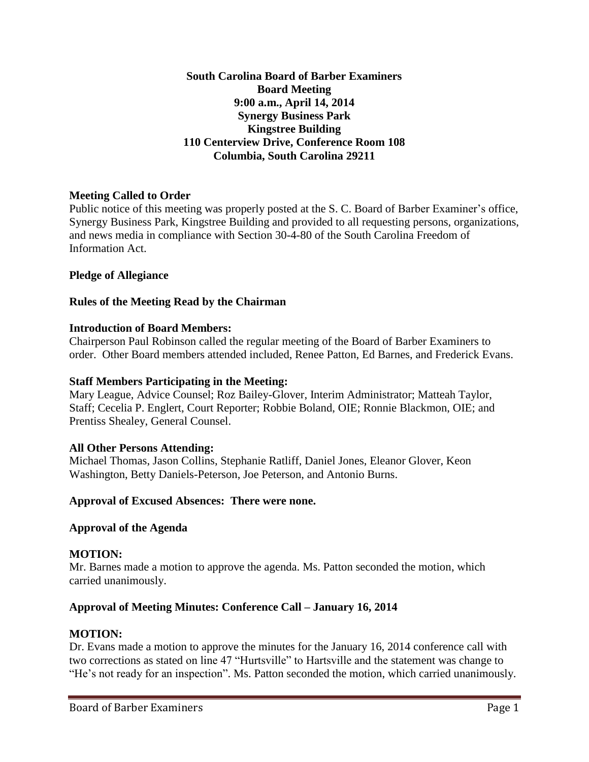**South Carolina Board of Barber Examiners Board Meeting 9:00 a.m., April 14, 2014 Synergy Business Park Kingstree Building 110 Centerview Drive, Conference Room 108 Columbia, South Carolina 29211**

## **Meeting Called to Order**

Public notice of this meeting was properly posted at the S. C. Board of Barber Examiner's office, Synergy Business Park, Kingstree Building and provided to all requesting persons, organizations, and news media in compliance with Section 30-4-80 of the South Carolina Freedom of Information Act.

## **Pledge of Allegiance**

## **Rules of the Meeting Read by the Chairman**

### **Introduction of Board Members:**

Chairperson Paul Robinson called the regular meeting of the Board of Barber Examiners to order. Other Board members attended included, Renee Patton, Ed Barnes, and Frederick Evans.

#### **Staff Members Participating in the Meeting:**

Mary League, Advice Counsel; Roz Bailey-Glover, Interim Administrator; Matteah Taylor, Staff; Cecelia P. Englert, Court Reporter; Robbie Boland, OIE; Ronnie Blackmon, OIE; and Prentiss Shealey, General Counsel.

#### **All Other Persons Attending:**

Michael Thomas, Jason Collins, Stephanie Ratliff, Daniel Jones, Eleanor Glover, Keon Washington, Betty Daniels-Peterson, Joe Peterson, and Antonio Burns.

## **Approval of Excused Absences: There were none.**

#### **Approval of the Agenda**

#### **MOTION:**

Mr. Barnes made a motion to approve the agenda. Ms. Patton seconded the motion, which carried unanimously.

#### **Approval of Meeting Minutes: Conference Call – January 16, 2014**

#### **MOTION:**

Dr. Evans made a motion to approve the minutes for the January 16, 2014 conference call with two corrections as stated on line 47 "Hurtsville" to Hartsville and the statement was change to "He's not ready for an inspection". Ms. Patton seconded the motion, which carried unanimously.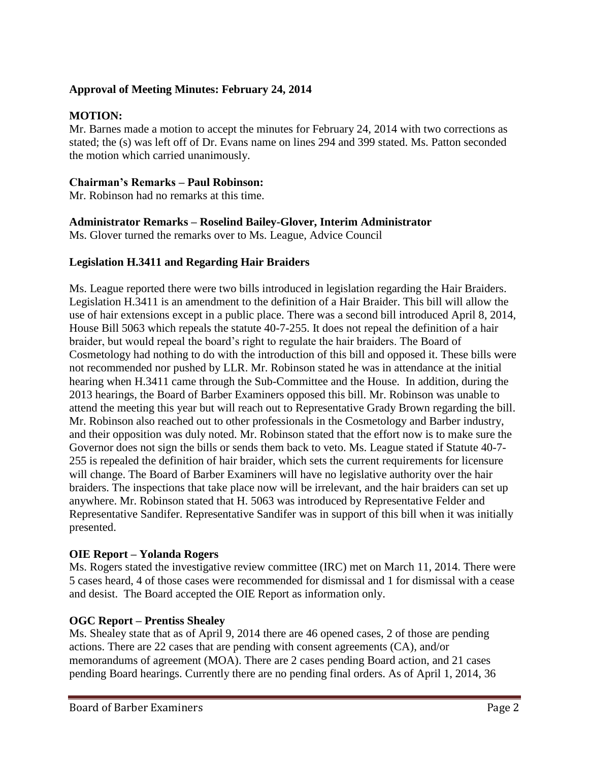## **Approval of Meeting Minutes: February 24, 2014**

## **MOTION:**

Mr. Barnes made a motion to accept the minutes for February 24, 2014 with two corrections as stated; the (s) was left off of Dr. Evans name on lines 294 and 399 stated. Ms. Patton seconded the motion which carried unanimously.

### **Chairman's Remarks – Paul Robinson:**

Mr. Robinson had no remarks at this time.

### **Administrator Remarks – Roselind Bailey-Glover, Interim Administrator**

Ms. Glover turned the remarks over to Ms. League, Advice Council

### **Legislation H.3411 and Regarding Hair Braiders**

Ms. League reported there were two bills introduced in legislation regarding the Hair Braiders. Legislation H.3411 is an amendment to the definition of a Hair Braider. This bill will allow the use of hair extensions except in a public place. There was a second bill introduced April 8, 2014, House Bill 5063 which repeals the statute 40-7-255. It does not repeal the definition of a hair braider, but would repeal the board's right to regulate the hair braiders. The Board of Cosmetology had nothing to do with the introduction of this bill and opposed it. These bills were not recommended nor pushed by LLR. Mr. Robinson stated he was in attendance at the initial hearing when H.3411 came through the Sub-Committee and the House. In addition, during the 2013 hearings, the Board of Barber Examiners opposed this bill. Mr. Robinson was unable to attend the meeting this year but will reach out to Representative Grady Brown regarding the bill. Mr. Robinson also reached out to other professionals in the Cosmetology and Barber industry, and their opposition was duly noted. Mr. Robinson stated that the effort now is to make sure the Governor does not sign the bills or sends them back to veto. Ms. League stated if Statute 40-7- 255 is repealed the definition of hair braider, which sets the current requirements for licensure will change. The Board of Barber Examiners will have no legislative authority over the hair braiders. The inspections that take place now will be irrelevant, and the hair braiders can set up anywhere. Mr. Robinson stated that H. 5063 was introduced by Representative Felder and Representative Sandifer. Representative Sandifer was in support of this bill when it was initially presented.

#### **OIE Report – Yolanda Rogers**

Ms. Rogers stated the investigative review committee (IRC) met on March 11, 2014. There were 5 cases heard, 4 of those cases were recommended for dismissal and 1 for dismissal with a cease and desist. The Board accepted the OIE Report as information only.

## **OGC Report – Prentiss Shealey**

Ms. Shealey state that as of April 9, 2014 there are 46 opened cases, 2 of those are pending actions. There are 22 cases that are pending with consent agreements (CA), and/or memorandums of agreement (MOA). There are 2 cases pending Board action, and 21 cases pending Board hearings. Currently there are no pending final orders. As of April 1, 2014, 36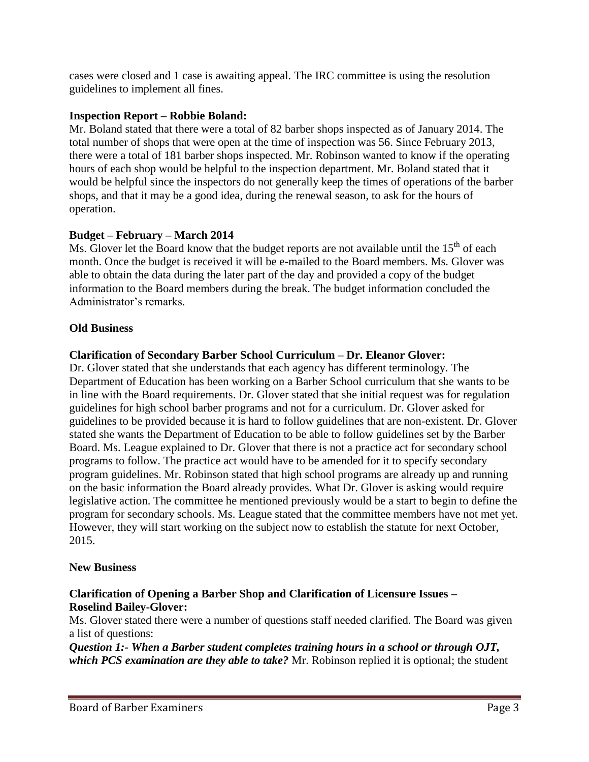cases were closed and 1 case is awaiting appeal. The IRC committee is using the resolution guidelines to implement all fines.

## **Inspection Report – Robbie Boland:**

Mr. Boland stated that there were a total of 82 barber shops inspected as of January 2014. The total number of shops that were open at the time of inspection was 56. Since February 2013, there were a total of 181 barber shops inspected. Mr. Robinson wanted to know if the operating hours of each shop would be helpful to the inspection department. Mr. Boland stated that it would be helpful since the inspectors do not generally keep the times of operations of the barber shops, and that it may be a good idea, during the renewal season, to ask for the hours of operation.

### **Budget – February – March 2014**

Ms. Glover let the Board know that the budget reports are not available until the  $15<sup>th</sup>$  of each month. Once the budget is received it will be e-mailed to the Board members. Ms. Glover was able to obtain the data during the later part of the day and provided a copy of the budget information to the Board members during the break. The budget information concluded the Administrator's remarks.

#### **Old Business**

## **Clarification of Secondary Barber School Curriculum – Dr. Eleanor Glover:**

Dr. Glover stated that she understands that each agency has different terminology. The Department of Education has been working on a Barber School curriculum that she wants to be in line with the Board requirements. Dr. Glover stated that she initial request was for regulation guidelines for high school barber programs and not for a curriculum. Dr. Glover asked for guidelines to be provided because it is hard to follow guidelines that are non-existent. Dr. Glover stated she wants the Department of Education to be able to follow guidelines set by the Barber Board. Ms. League explained to Dr. Glover that there is not a practice act for secondary school programs to follow. The practice act would have to be amended for it to specify secondary program guidelines. Mr. Robinson stated that high school programs are already up and running on the basic information the Board already provides. What Dr. Glover is asking would require legislative action. The committee he mentioned previously would be a start to begin to define the program for secondary schools. Ms. League stated that the committee members have not met yet. However, they will start working on the subject now to establish the statute for next October, 2015.

#### **New Business**

### **Clarification of Opening a Barber Shop and Clarification of Licensure Issues – Roselind Bailey-Glover:**

Ms. Glover stated there were a number of questions staff needed clarified. The Board was given a list of questions:

*Question 1:- When a Barber student completes training hours in a school or through OJT, which PCS examination are they able to take?* Mr. Robinson replied it is optional; the student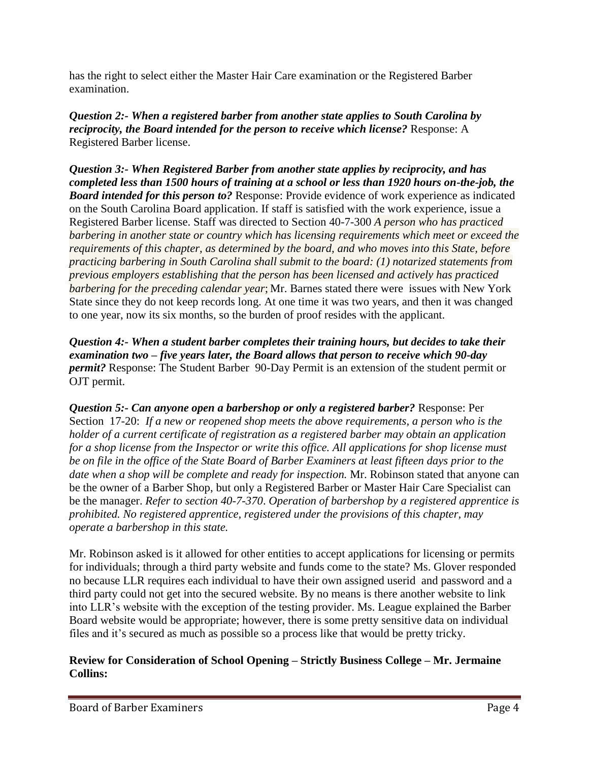has the right to select either the Master Hair Care examination or the Registered Barber examination.

*Question 2:- When a registered barber from another state applies to South Carolina by reciprocity, the Board intended for the person to receive which license?* Response: A Registered Barber license.

*Question 3:- When Registered Barber from another state applies by reciprocity, and has completed less than 1500 hours of training at a school or less than 1920 hours on-the-job, the Board intended for this person to?* Response: Provide evidence of work experience as indicated on the South Carolina Board application. If staff is satisfied with the work experience, issue a Registered Barber license. Staff was directed to Section 40-7-300 *A person who has practiced barbering in another state or country which has licensing requirements which meet or exceed the requirements of this chapter, as determined by the board, and who moves into this State, before practicing barbering in South Carolina shall submit to the board: (1) notarized statements from previous employers establishing that the person has been licensed and actively has practiced barbering for the preceding calendar year*; Mr. Barnes stated there were issues with New York State since they do not keep records long. At one time it was two years, and then it was changed to one year, now its six months, so the burden of proof resides with the applicant.

*Question 4:- When a student barber completes their training hours, but decides to take their examination two – five years later, the Board allows that person to receive which 90-day permit?* Response: The Student Barber 90-Day Permit is an extension of the student permit or OJT permit.

*Question 5:- Can anyone open a barbershop or only a registered barber?* Response: Per Section 17-20: *If a new or reopened shop meets the above requirements, a person who is the holder of a current certificate of registration as a registered barber may obtain an application for a shop license from the Inspector or write this office. All applications for shop license must be on file in the office of the State Board of Barber Examiners at least fifteen days prior to the date when a shop will be complete and ready for inspection.* Mr. Robinson stated that anyone can be the owner of a Barber Shop, but only a Registered Barber or Master Hair Care Specialist can be the manager. *Refer to section 40-7-370*. *Operation of barbershop by a registered apprentice is prohibited. No registered apprentice, registered under the provisions of this chapter, may operate a barbershop in this state.*

Mr. Robinson asked is it allowed for other entities to accept applications for licensing or permits for individuals; through a third party website and funds come to the state? Ms. Glover responded no because LLR requires each individual to have their own assigned userid and password and a third party could not get into the secured website. By no means is there another website to link into LLR's website with the exception of the testing provider. Ms. League explained the Barber Board website would be appropriate; however, there is some pretty sensitive data on individual files and it's secured as much as possible so a process like that would be pretty tricky.

## **Review for Consideration of School Opening – Strictly Business College – Mr. Jermaine Collins:**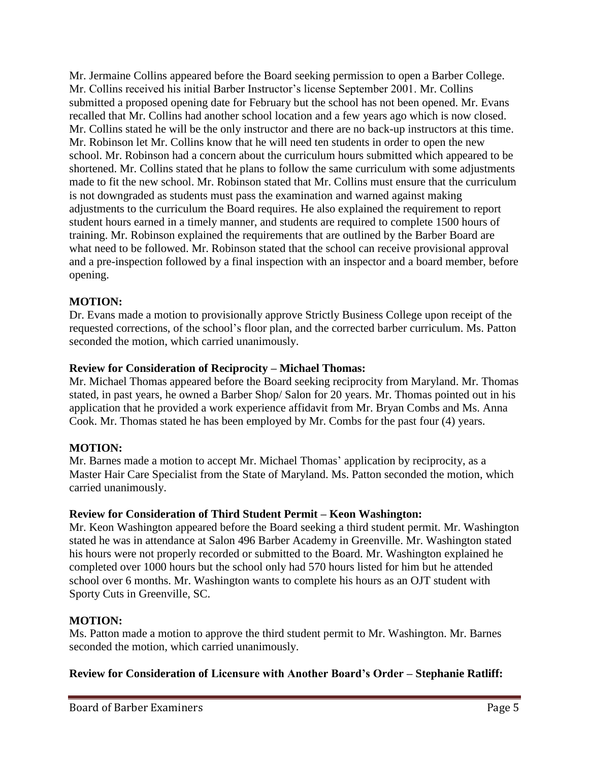Mr. Jermaine Collins appeared before the Board seeking permission to open a Barber College. Mr. Collins received his initial Barber Instructor's license September 2001. Mr. Collins submitted a proposed opening date for February but the school has not been opened. Mr. Evans recalled that Mr. Collins had another school location and a few years ago which is now closed. Mr. Collins stated he will be the only instructor and there are no back-up instructors at this time. Mr. Robinson let Mr. Collins know that he will need ten students in order to open the new school. Mr. Robinson had a concern about the curriculum hours submitted which appeared to be shortened. Mr. Collins stated that he plans to follow the same curriculum with some adjustments made to fit the new school. Mr. Robinson stated that Mr. Collins must ensure that the curriculum is not downgraded as students must pass the examination and warned against making adjustments to the curriculum the Board requires. He also explained the requirement to report student hours earned in a timely manner, and students are required to complete 1500 hours of training. Mr. Robinson explained the requirements that are outlined by the Barber Board are what need to be followed. Mr. Robinson stated that the school can receive provisional approval and a pre-inspection followed by a final inspection with an inspector and a board member, before opening.

# **MOTION:**

Dr. Evans made a motion to provisionally approve Strictly Business College upon receipt of the requested corrections, of the school's floor plan, and the corrected barber curriculum. Ms. Patton seconded the motion, which carried unanimously.

## **Review for Consideration of Reciprocity – Michael Thomas:**

Mr. Michael Thomas appeared before the Board seeking reciprocity from Maryland. Mr. Thomas stated, in past years, he owned a Barber Shop/ Salon for 20 years. Mr. Thomas pointed out in his application that he provided a work experience affidavit from Mr. Bryan Combs and Ms. Anna Cook. Mr. Thomas stated he has been employed by Mr. Combs for the past four (4) years.

## **MOTION:**

Mr. Barnes made a motion to accept Mr. Michael Thomas' application by reciprocity, as a Master Hair Care Specialist from the State of Maryland. Ms. Patton seconded the motion, which carried unanimously.

## **Review for Consideration of Third Student Permit – Keon Washington:**

Mr. Keon Washington appeared before the Board seeking a third student permit. Mr. Washington stated he was in attendance at Salon 496 Barber Academy in Greenville. Mr. Washington stated his hours were not properly recorded or submitted to the Board. Mr. Washington explained he completed over 1000 hours but the school only had 570 hours listed for him but he attended school over 6 months. Mr. Washington wants to complete his hours as an OJT student with Sporty Cuts in Greenville, SC.

# **MOTION:**

Ms. Patton made a motion to approve the third student permit to Mr. Washington. Mr. Barnes seconded the motion, which carried unanimously.

# **Review for Consideration of Licensure with Another Board's Order – Stephanie Ratliff:**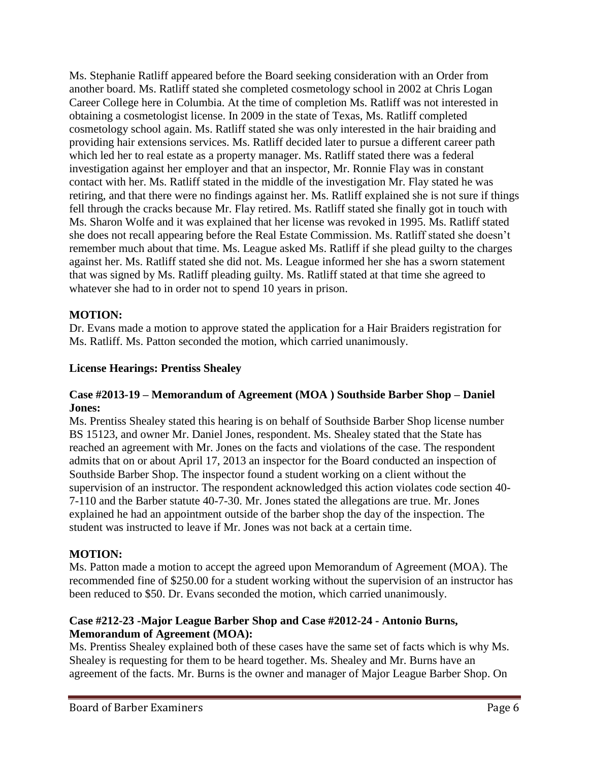Ms. Stephanie Ratliff appeared before the Board seeking consideration with an Order from another board. Ms. Ratliff stated she completed cosmetology school in 2002 at Chris Logan Career College here in Columbia. At the time of completion Ms. Ratliff was not interested in obtaining a cosmetologist license. In 2009 in the state of Texas, Ms. Ratliff completed cosmetology school again. Ms. Ratliff stated she was only interested in the hair braiding and providing hair extensions services. Ms. Ratliff decided later to pursue a different career path which led her to real estate as a property manager. Ms. Ratliff stated there was a federal investigation against her employer and that an inspector, Mr. Ronnie Flay was in constant contact with her. Ms. Ratliff stated in the middle of the investigation Mr. Flay stated he was retiring, and that there were no findings against her. Ms. Ratliff explained she is not sure if things fell through the cracks because Mr. Flay retired. Ms. Ratliff stated she finally got in touch with Ms. Sharon Wolfe and it was explained that her license was revoked in 1995. Ms. Ratliff stated she does not recall appearing before the Real Estate Commission. Ms. Ratliff stated she doesn't remember much about that time. Ms. League asked Ms. Ratliff if she plead guilty to the charges against her. Ms. Ratliff stated she did not. Ms. League informed her she has a sworn statement that was signed by Ms. Ratliff pleading guilty. Ms. Ratliff stated at that time she agreed to whatever she had to in order not to spend 10 years in prison.

# **MOTION:**

Dr. Evans made a motion to approve stated the application for a Hair Braiders registration for Ms. Ratliff. Ms. Patton seconded the motion, which carried unanimously.

# **License Hearings: Prentiss Shealey**

## **Case #2013-19 – Memorandum of Agreement (MOA ) Southside Barber Shop – Daniel Jones:**

Ms. Prentiss Shealey stated this hearing is on behalf of Southside Barber Shop license number BS 15123, and owner Mr. Daniel Jones, respondent. Ms. Shealey stated that the State has reached an agreement with Mr. Jones on the facts and violations of the case. The respondent admits that on or about April 17, 2013 an inspector for the Board conducted an inspection of Southside Barber Shop. The inspector found a student working on a client without the supervision of an instructor. The respondent acknowledged this action violates code section 40- 7-110 and the Barber statute 40-7-30. Mr. Jones stated the allegations are true. Mr. Jones explained he had an appointment outside of the barber shop the day of the inspection. The student was instructed to leave if Mr. Jones was not back at a certain time.

# **MOTION:**

Ms. Patton made a motion to accept the agreed upon Memorandum of Agreement (MOA). The recommended fine of \$250.00 for a student working without the supervision of an instructor has been reduced to \$50. Dr. Evans seconded the motion, which carried unanimously.

## **Case #212-23 -Major League Barber Shop and Case #2012-24 - Antonio Burns, Memorandum of Agreement (MOA):**

Ms. Prentiss Shealey explained both of these cases have the same set of facts which is why Ms. Shealey is requesting for them to be heard together. Ms. Shealey and Mr. Burns have an agreement of the facts. Mr. Burns is the owner and manager of Major League Barber Shop. On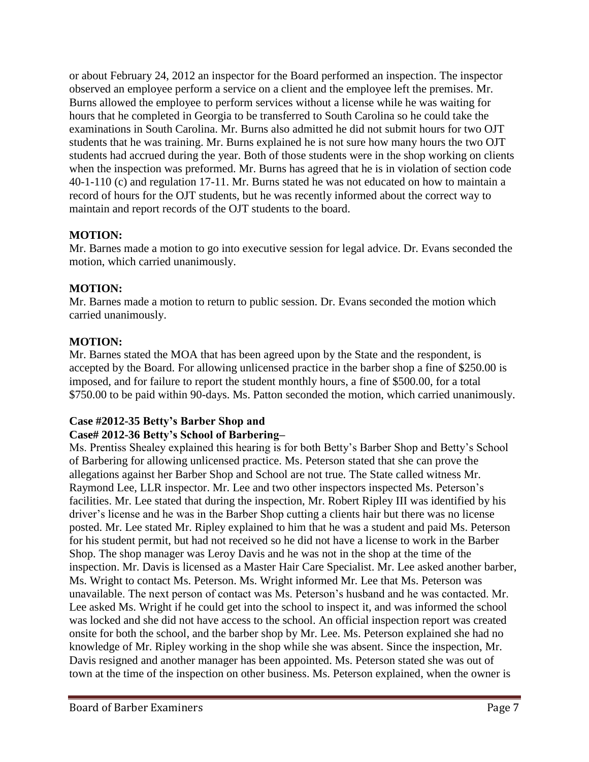or about February 24, 2012 an inspector for the Board performed an inspection. The inspector observed an employee perform a service on a client and the employee left the premises. Mr. Burns allowed the employee to perform services without a license while he was waiting for hours that he completed in Georgia to be transferred to South Carolina so he could take the examinations in South Carolina. Mr. Burns also admitted he did not submit hours for two OJT students that he was training. Mr. Burns explained he is not sure how many hours the two OJT students had accrued during the year. Both of those students were in the shop working on clients when the inspection was preformed. Mr. Burns has agreed that he is in violation of section code 40-1-110 (c) and regulation 17-11. Mr. Burns stated he was not educated on how to maintain a record of hours for the OJT students, but he was recently informed about the correct way to maintain and report records of the OJT students to the board.

# **MOTION:**

Mr. Barnes made a motion to go into executive session for legal advice. Dr. Evans seconded the motion, which carried unanimously.

# **MOTION:**

Mr. Barnes made a motion to return to public session. Dr. Evans seconded the motion which carried unanimously.

# **MOTION:**

Mr. Barnes stated the MOA that has been agreed upon by the State and the respondent, is accepted by the Board. For allowing unlicensed practice in the barber shop a fine of \$250.00 is imposed, and for failure to report the student monthly hours, a fine of \$500.00, for a total \$750.00 to be paid within 90-days. Ms. Patton seconded the motion, which carried unanimously.

# **Case #2012-35 Betty's Barber Shop and**

# **Case# 2012-36 Betty's School of Barbering–**

Ms. Prentiss Shealey explained this hearing is for both Betty's Barber Shop and Betty's School of Barbering for allowing unlicensed practice. Ms. Peterson stated that she can prove the allegations against her Barber Shop and School are not true. The State called witness Mr. Raymond Lee, LLR inspector. Mr. Lee and two other inspectors inspected Ms. Peterson's facilities. Mr. Lee stated that during the inspection, Mr. Robert Ripley III was identified by his driver's license and he was in the Barber Shop cutting a clients hair but there was no license posted. Mr. Lee stated Mr. Ripley explained to him that he was a student and paid Ms. Peterson for his student permit, but had not received so he did not have a license to work in the Barber Shop. The shop manager was Leroy Davis and he was not in the shop at the time of the inspection. Mr. Davis is licensed as a Master Hair Care Specialist. Mr. Lee asked another barber, Ms. Wright to contact Ms. Peterson. Ms. Wright informed Mr. Lee that Ms. Peterson was unavailable. The next person of contact was Ms. Peterson's husband and he was contacted. Mr. Lee asked Ms. Wright if he could get into the school to inspect it, and was informed the school was locked and she did not have access to the school. An official inspection report was created onsite for both the school, and the barber shop by Mr. Lee. Ms. Peterson explained she had no knowledge of Mr. Ripley working in the shop while she was absent. Since the inspection, Mr. Davis resigned and another manager has been appointed. Ms. Peterson stated she was out of town at the time of the inspection on other business. Ms. Peterson explained, when the owner is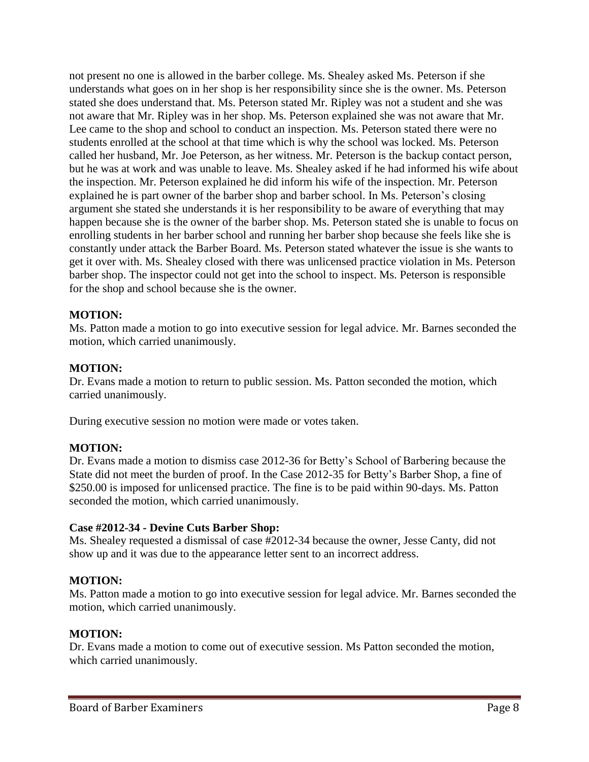not present no one is allowed in the barber college. Ms. Shealey asked Ms. Peterson if she understands what goes on in her shop is her responsibility since she is the owner. Ms. Peterson stated she does understand that. Ms. Peterson stated Mr. Ripley was not a student and she was not aware that Mr. Ripley was in her shop. Ms. Peterson explained she was not aware that Mr. Lee came to the shop and school to conduct an inspection. Ms. Peterson stated there were no students enrolled at the school at that time which is why the school was locked. Ms. Peterson called her husband, Mr. Joe Peterson, as her witness. Mr. Peterson is the backup contact person, but he was at work and was unable to leave. Ms. Shealey asked if he had informed his wife about the inspection. Mr. Peterson explained he did inform his wife of the inspection. Mr. Peterson explained he is part owner of the barber shop and barber school. In Ms. Peterson's closing argument she stated she understands it is her responsibility to be aware of everything that may happen because she is the owner of the barber shop. Ms. Peterson stated she is unable to focus on enrolling students in her barber school and running her barber shop because she feels like she is constantly under attack the Barber Board. Ms. Peterson stated whatever the issue is she wants to get it over with. Ms. Shealey closed with there was unlicensed practice violation in Ms. Peterson barber shop. The inspector could not get into the school to inspect. Ms. Peterson is responsible for the shop and school because she is the owner.

## **MOTION:**

Ms. Patton made a motion to go into executive session for legal advice. Mr. Barnes seconded the motion, which carried unanimously.

## **MOTION:**

Dr. Evans made a motion to return to public session. Ms. Patton seconded the motion, which carried unanimously.

During executive session no motion were made or votes taken.

## **MOTION:**

Dr. Evans made a motion to dismiss case 2012-36 for Betty's School of Barbering because the State did not meet the burden of proof. In the Case 2012-35 for Betty's Barber Shop, a fine of \$250.00 is imposed for unlicensed practice. The fine is to be paid within 90-days. Ms. Patton seconded the motion, which carried unanimously.

## **Case #2012-34 - Devine Cuts Barber Shop:**

Ms. Shealey requested a dismissal of case #2012-34 because the owner, Jesse Canty, did not show up and it was due to the appearance letter sent to an incorrect address.

## **MOTION:**

Ms. Patton made a motion to go into executive session for legal advice. Mr. Barnes seconded the motion, which carried unanimously.

#### **MOTION:**

Dr. Evans made a motion to come out of executive session. Ms Patton seconded the motion, which carried unanimously.